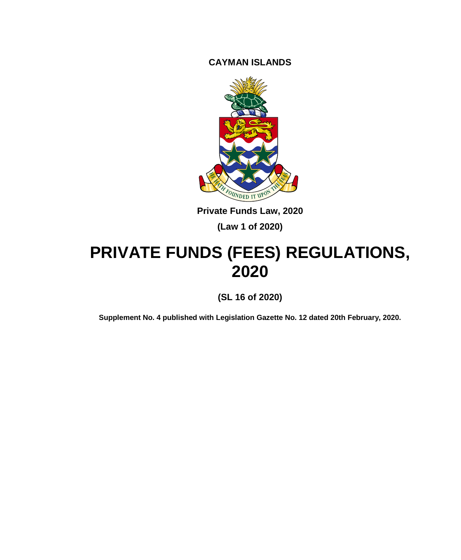**CAYMAN ISLANDS**



**Private Funds Law, 2020**

**(Law 1 of 2020)**

# **PRIVATE FUNDS (FEES) REGULATIONS, 2020**

**(SL 16 of 2020)**

**Supplement No. 4 published with Legislation Gazette No. 12 dated 20th February, 2020.**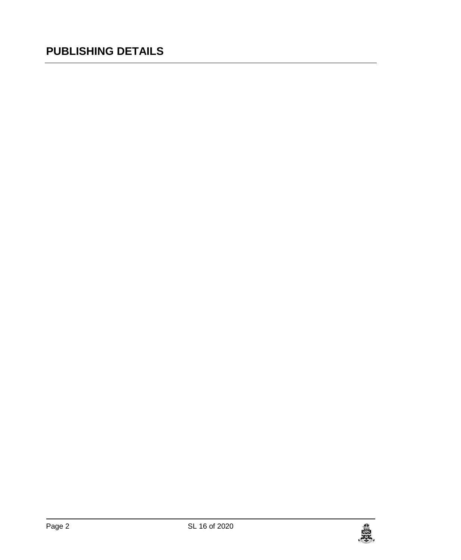## **PUBLISHING DETAILS**

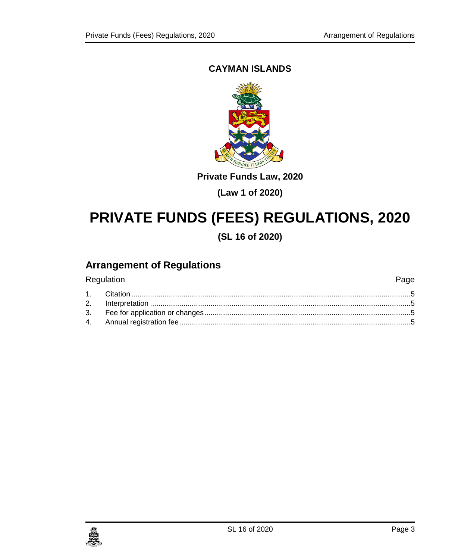### **CAYMAN ISLANDS**



**Private Funds Law, 2020**

## **(Law 1 of 2020)**

## **PRIVATE FUNDS (FEES) REGULATIONS, 2020**

**(SL 16 of 2020)**

## **Arrangement of Regulations**

| Regulation | Page |
|------------|------|
|            |      |
|            |      |
|            |      |
|            |      |

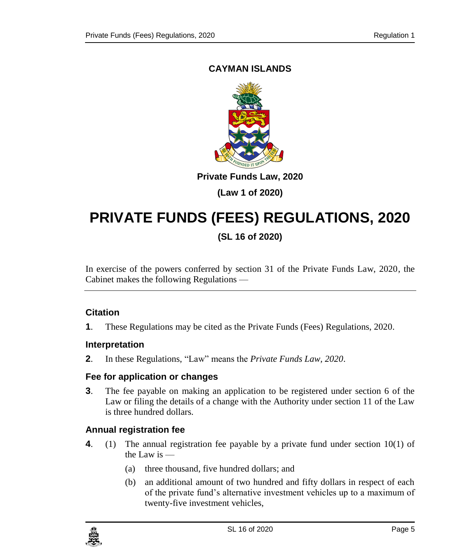### <span id="page-4-0"></span>**CAYMAN ISLANDS**



**Private Funds Law, 2020**

**(Law 1 of 2020)**

## **PRIVATE FUNDS (FEES) REGULATIONS, 2020**

### **(SL 16 of 2020)**

In exercise of the powers conferred by section 31 of the Private Funds Law, 2020, the Cabinet makes the following Regulations —

### **1. Citation**

**1**. These Regulations may be cited as the Private Funds (Fees) Regulations, 2020.

### <span id="page-4-1"></span>**2. Interpretation**

**2**. In these Regulations, "Law" means the *Private Funds Law, 2020*.

### <span id="page-4-2"></span>**3. Fee for application or changes**

**3**. The fee payable on making an application to be registered under section 6 of the Law or filing the details of a change with the Authority under section 11 of the Law is three hundred dollars.

### <span id="page-4-3"></span>**4. Annual registration fee**

- **4**. (1) The annual registration fee payable by a private fund under section 10(1) of the Law is —
	- (a) three thousand, five hundred dollars; and
	- (b) an additional amount of two hundred and fifty dollars in respect of each of the private fund's alternative investment vehicles up to a maximum of twenty-five investment vehicles,